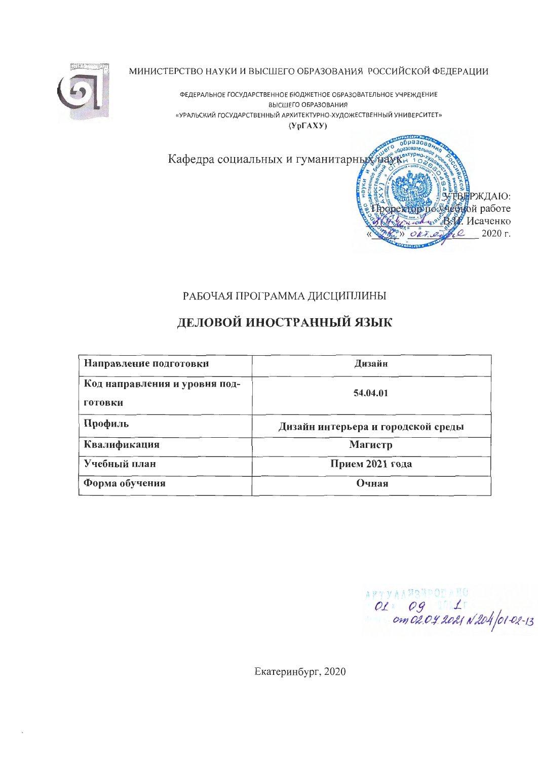

МИНИСТЕРСТВО НАУКИ И ВЫСШЕГО ОБРАЗОВАНИЯ РОССИЙСКОЙ ФЕДЕРАЦИИ

ФЕДЕРАЛЬНОЕ ГОСУДАРСТВЕННОЕ БЮДЖЕТНОЕ ОБРАЗОВАТЕЛЬНОЕ УЧРЕЖДЕНИЕ ВЫСШЕГО ОБРАЗОВАНИЯ «УРАЛЬСКИЙ ГОСУДАРСТВЕННЫЙ АРХИТЕКТУРНО-ХУДОЖЕСТВЕННЫЙ УНИВЕРСИТЕТ»

 $(Yp\Gamma A X Y)$ 

Кафедра социальных и гуманитарных на



## РАБОЧАЯ ПРОГРАММА ДИСЦИПЛИНЫ

# ДЕЛОВОЙ ИНОСТРАННЫЙ ЯЗЫК

| Направление подготовки                   | Дизайн                             |  |  |
|------------------------------------------|------------------------------------|--|--|
| Код направления и уровня под-<br>готовки | 54.04.01                           |  |  |
| Профиль                                  | Дизайн интерьера и городской среды |  |  |
| Квалификация                             | Магистр                            |  |  |
| Учебный план                             | Прием 2021 года                    |  |  |
| Форма обучения                           | Очная                              |  |  |

 $OL: O9 110$ <br>OL: Og 11 LT

Екатеринбург, 2020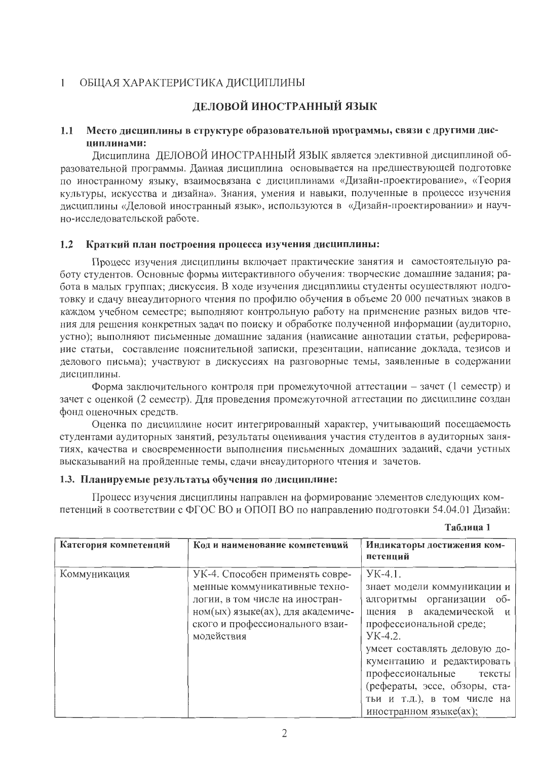#### ОБЩАЯ ХАРАКТЕРИСТИКА ДИСЦИПЛИНЫ  $\mathbf{1}$

## ДЕЛОВОЙ ИНОСТРАННЫЙ ЯЗЫК

#### Место дисциплины в структуре образовательной программы, связи с другими дис- $1.1$ пиплинами:

Дисциплина ДЕЛОВОЙ ИНОСТРАННЫЙ ЯЗЫК является элективной дисциплиной образовательной программы. Данная дисциплина основывается на предшествующей подготовке по иностранному языку, взаимосвязана с дисциплинами «Дизайн-проектирование», «Теория культуры, искусства и дизайна». Знания, умения и навыки, полученные в процессе изучения дисциплины «Деловой иностранный язык», используются в «Дизайн-проектировании» и научно-исследовательской работе.

#### Краткий план построения процесса изучения дисциплины:  $1.2$

Процесс изучения дисциплины включает практические занятия и самостоятельную работу студентов. Основные формы интерактивного обучения: творческие домашние задания; работа в малых группах; дискуссия. В ходе изучения дисциплины студенты осуществляют подготовку и сдачу внеаудиторного чтения по профилю обучения в объеме 20 000 печатных знаков в каждом учебном семестре; выполняют контрольную работу на применение разных видов чтения для решения конкретных задач по поиску и обработке полученной информации (аудиторно, устно); выполняют письменные домашние задания (написание аннотации статьи, реферирование статьи, составление пояснительной записки, презентации, написание доклада, тезисов и делового письма); участвуют в дискуссиях на разговорные темы, заявленные в содержании дисциплины.

Форма заключительного контроля при промежуточной аттестации - зачет (1 семестр) и зачет с оценкой (2 семестр). Для проведения промежуточной аттестации по дисциплине создан фонд оценочных средств.

Оценка по дисциплине носит интегрированный характер, учитывающий посещаемость студентами аудиторных занятий, результаты оценивания участия студентов в аудиторных занятиях, качества и своевременности выполнения письменных домашних заданий, сдачи устных высказываний на пройденные темы, сдачи внеаудиторного чтения и зачетов.

#### 1.3. Планируемые результаты обучения по дисциплине:

Процесс изучения дисциплины направлен на формирование элементов следующих компетенций в соответствии с ФГОС ВО и ОПОП ВО по направлению подготовки 54.04.01 Дизайн:

| Категория компетенций | Код и наименование компетенций                                                                                                                                                            | Индикаторы достижения ком-<br>петенций                                                                                                                                                                                                                                                                                       |
|-----------------------|-------------------------------------------------------------------------------------------------------------------------------------------------------------------------------------------|------------------------------------------------------------------------------------------------------------------------------------------------------------------------------------------------------------------------------------------------------------------------------------------------------------------------------|
| Коммуникация          | УК-4. Способен применять совре-<br>менные коммуникативные техно-<br>логии, в том числе на иностран-<br>ном(ых) языке(ах), для академиче-<br>ского и профессионального взаи-<br>модействия | $YK-4.1$ .<br>знает модели коммуникации и<br>алгоритмы организации об-<br>щения в академической и<br>профессиональной среде;<br>$YK-4.2.$<br>умеет составлять деловую до-<br>кументацию и редактировать<br>профессиональные тексты<br>(рефераты, эссе, обзоры, ста-<br>тьи и т.д.), в том числе на<br>иностранном языке(ах); |

#### Таблица 1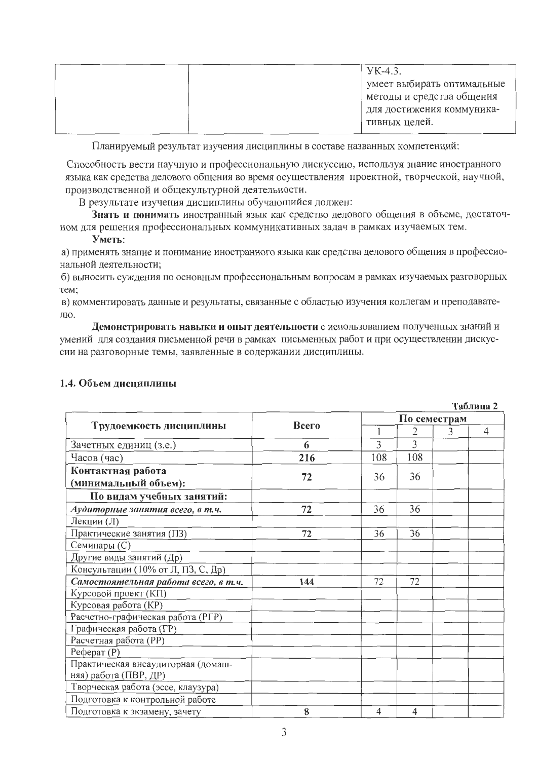| $YK-4.3.$                  |
|----------------------------|
| умеет выбирать оптимальные |
| методы и средства общения  |
| для достижения коммуника-  |
| тивных целей.              |

Планируемый результат изучения дисциплины в составе названных компетенций:

Способность вести научную и профессиональную дискуссию, используя знание иностранного языка как средства делового общения во время осуществления проектной, творческой, научной, производственной и общекультурной деятельности.

В результате изучения дисциплины обучающийся должен:

Знать и понимать иностранный язык как средство делового общения в объеме, достаточном для решения профессиональных коммуникативных задач в рамках изучаемых тем.

#### Уметь:

а) применять знание и понимание иностранного языка как средства делового общения в профессиональной деятельности;

б) выносить суждения по основным профессиональным вопросам в рамках изучаемых разговорных Tem:

в) комментировать данные и результаты, связанные с областью изучения коллегам и преподавателю.

Демонстрировать навыки и опыт деятельности с использованием полученных знаний и умений для создания письменной речи в рамках письменных работ и при осуществлении дискуссии на разговорные темы, заявленные в содержании дисциплины.

|                                           |       |     |              |   | Таблица 2      |  |  |  |
|-------------------------------------------|-------|-----|--------------|---|----------------|--|--|--|
|                                           | Всего |     | По семестрам |   |                |  |  |  |
| Трудоемкость дисциплины                   |       |     | 2            | 3 | $\overline{4}$ |  |  |  |
| Зачетных единиц (з.е.)                    | 6     | 3   | 3            |   |                |  |  |  |
| Часов (час)                               | 216   | 108 | 108          |   |                |  |  |  |
| Контактная работа<br>(минимальный объем): | 72    | 36  | 36           |   |                |  |  |  |
| По видам учебных занятий:                 |       |     |              |   |                |  |  |  |
| Аудиторные занятия всего, в т.ч.          | 72    | 36  | 36           |   |                |  |  |  |
| Лекции (Л)                                |       |     |              |   |                |  |  |  |
| Практические занятия (ПЗ)                 | 72    | 36  | 36           |   |                |  |  |  |
| Семинары (С)                              |       |     |              |   |                |  |  |  |
| Другие виды занятий (Др)                  |       |     |              |   |                |  |  |  |
| Консультации (10% от Л, ПЗ, С, Др)        |       |     |              |   |                |  |  |  |
| Самостоятельная работа всего, в т.ч.      | 144   | 72  | 72           |   |                |  |  |  |
| Курсовой проект (КП)                      |       |     |              |   |                |  |  |  |
| Курсовая работа (КР)                      |       |     |              |   |                |  |  |  |
| Расчетно-графическая работа (РГР)         |       |     |              |   |                |  |  |  |
| Графическая работа (ГР)                   |       |     |              |   |                |  |  |  |
| Расчетная работа (PP)                     |       |     |              |   |                |  |  |  |
| Pe $\phi$ epar $(P)$                      |       |     |              |   |                |  |  |  |
| Практическая внеаудиторная (домаш-        |       |     |              |   |                |  |  |  |
| няя) работа (ПВР, ДР)                     |       |     |              |   |                |  |  |  |
| Творческая работа (эссе, клаузура)        |       |     |              |   |                |  |  |  |
| Подготовка к контрольной работе           |       |     |              |   |                |  |  |  |
| Подготовка к экзамену, зачету             | 8     | 4   | 4            |   |                |  |  |  |

### 1.4. Объем лиспиплины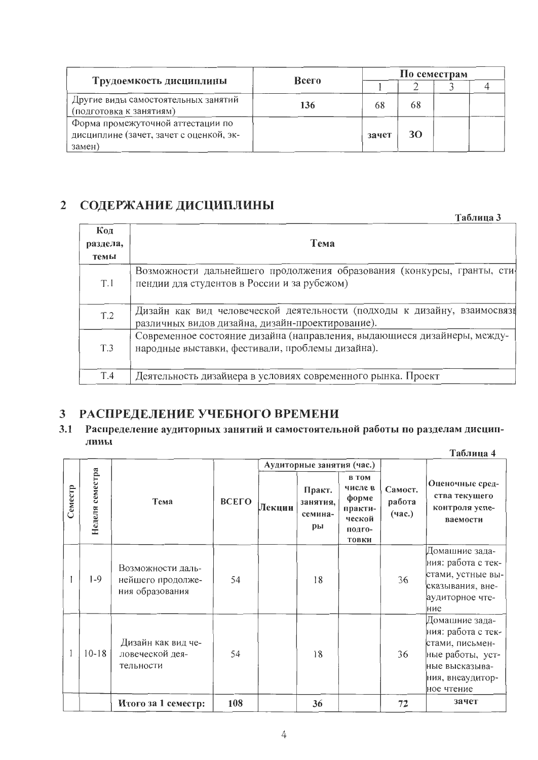|                                                                                        |       |       | По семестрам |  |  |  |  |
|----------------------------------------------------------------------------------------|-------|-------|--------------|--|--|--|--|
| Трудоемкость дисциплины                                                                | Всего |       |              |  |  |  |  |
| Другие виды самостоятельных занятий<br>(подготовка к занятиям)                         | 136   | 68    | 68           |  |  |  |  |
| Форма промежуточной аттестации по<br>дисциплине (зачет, зачет с оценкой, эк-<br>замен) |       | зачет | 30           |  |  |  |  |

#### СОДЕРЖАНИЕ ДИСЦИПЛИНЫ  $\overline{2}$

Таблица 3 Код Тема раздела, темы Возможности дальнейшего продолжения образования (конкурсы, гранты, стипендии для студентов в России и за рубежом)  $T.1$ Дизайн как вид человеческой деятельности (подходы к дизайну, взаимосвязь  $T.2$ различных видов дизайна, дизайн-проектирование). Современное состояние дизайна (направления, выдающиеся дизайнеры, международные выставки, фестивали, проблемы дизайна).  $T.3$ Деятельность дизайнера в условиях современного рынка. Проект T.4

#### $\mathbf{3}$ РАСПРЕДЕЛЕНИЕ УЧЕБНОГО ВРЕМЕНИ

#### $3.1$ Распределение аудиторных занятий и самостоятельной работы по разделам дисциплины

|         |                 |                                                           |       |        |                                     |                                                                                 |                             | Таблица 4                                                                                                                       |  |
|---------|-----------------|-----------------------------------------------------------|-------|--------|-------------------------------------|---------------------------------------------------------------------------------|-----------------------------|---------------------------------------------------------------------------------------------------------------------------------|--|
|         |                 |                                                           |       |        | Аудиторные занятия (час.)           |                                                                                 |                             |                                                                                                                                 |  |
| Семестр | Неделя семестра | Тема                                                      | ВСЕГО | Лекции | Практ.<br>занятия,<br>семина-<br>pы | <b>B</b> TOM<br>числе в<br>форме<br>практи-<br>ческой<br>подго-<br><b>ТОВКИ</b> | Самост.<br>работа<br>(час.) | Оценочные сред-<br>ства текущего<br>контроля успе-<br>ваемости                                                                  |  |
|         | $1-9$           | Возможности даль-<br>нейшего продолже-<br>ния образования | 54    |        | 18                                  |                                                                                 | 36                          | Домашние зада-<br>ния: работа с тек-<br>стами, устные вы-<br>сказывания, вне-<br>аудиторное чте-<br>ние                         |  |
|         | $10 - 18$       | Дизайн как вид че-<br>ловеческой дея-<br>тельности        | 54    |        | 18                                  |                                                                                 | 36                          | Домашние зада-<br>ния: работа с тек-<br>стами, письмен-<br>ные работы, уст-<br>ные высказыва-<br>ния, внеаудитор-<br>ное чтение |  |
|         |                 | Итого за 1 семестр:                                       | 108   |        | 36                                  |                                                                                 | 72                          | зачет                                                                                                                           |  |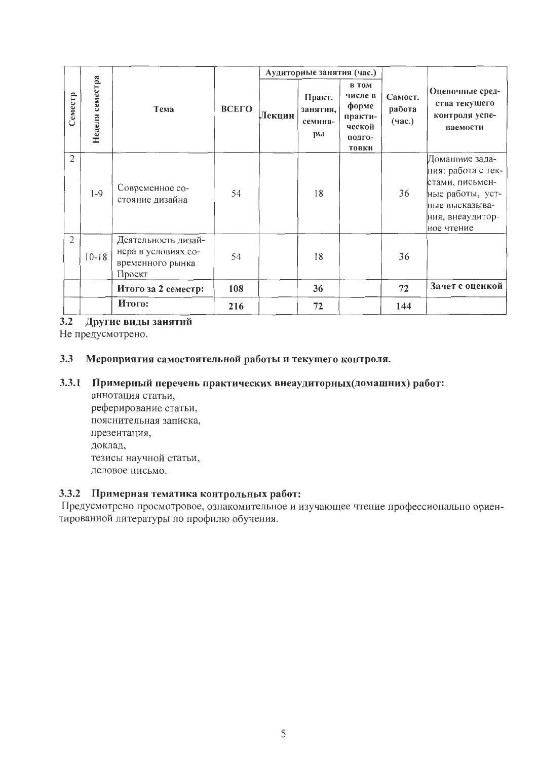|                |                 |                                                                          |                 |  | Аудиторные занятия (час.)           |                                                                                 |                             |                                                                                                                                 |  |
|----------------|-----------------|--------------------------------------------------------------------------|-----------------|--|-------------------------------------|---------------------------------------------------------------------------------|-----------------------------|---------------------------------------------------------------------------------------------------------------------------------|--|
| Семестр        | Неделя семестра | Тема                                                                     | ВСЕГО<br>Лекции |  | Практ.<br>занятия,<br>семина-<br>ры | <b>B</b> TOM<br>числе в<br>форме<br>практи-<br>ческой<br>подго-<br><b>ТОВКИ</b> | Самост.<br>работа<br>(час.) | Оценочные сред-<br>ства текущего<br>контроля успе-<br>ваемости                                                                  |  |
| $\overline{2}$ | $1-9$           | Современное со-<br>стояние дизайна                                       | 54              |  | 18                                  |                                                                                 | 36                          | Домашние зада-<br>ния: работа с тек-<br>стами, письмен-<br>ные работы, уст-<br>ные высказыва-<br>ния, внеаудитор-<br>ное чтение |  |
| $\overline{2}$ | $10 - 18$       | Деятельность дизай-<br>нера в условиях со-<br>временного рынка<br>Проект | 54              |  | 18                                  |                                                                                 | 36                          |                                                                                                                                 |  |
|                |                 | Итого за 2 семестр:                                                      | 108             |  | 36                                  |                                                                                 | 72                          | Зачет с оценкой                                                                                                                 |  |
|                |                 | Итого:                                                                   | 216             |  | 72                                  |                                                                                 | 144                         |                                                                                                                                 |  |

 $3.2$ Другие виды занятий

Не предусмотрено.

#### $3.3$ Мероприятия самостоятельной работы и текущего контроля.

#### 3.3.1 Примерный перечень практических внеаудиторных (домашних) работ:

аннотация статьи, реферирование статьи, пояснительная записка, презентация, доклад, тезисы научной статьи, деловое письмо.

## 3.3.2 Примерная тематика контрольных работ:

Предусмотрено просмотровое, ознакомительное и изучающее чтение профессионально ориентированной литературы по профилю обучения.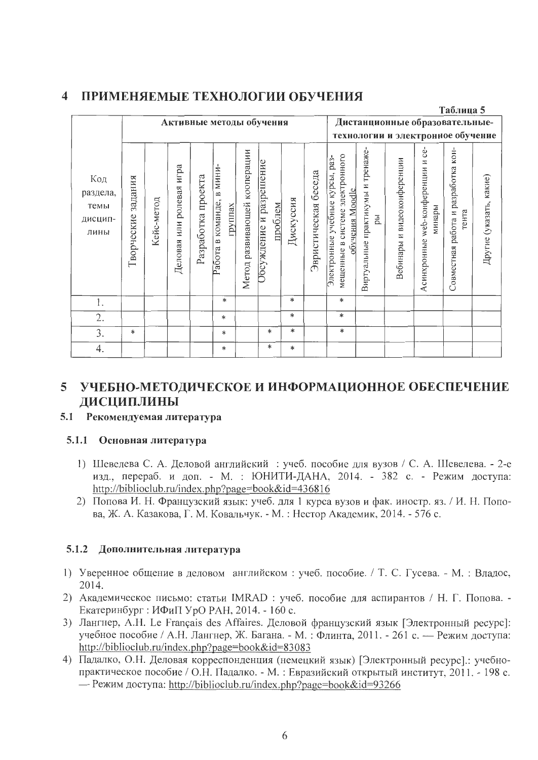#### ПРИМЕНЯЕМЫЕ ТЕХНОЛОГИИ ОБУЧЕНИЯ  $\blacktriangleleft$

|                                            |                       |            |                                   |                    |                                                   |                                 |                                    |           |                      |                                                                                                     |                                         |                             |                                                   | Таблица 5                                    |                         |
|--------------------------------------------|-----------------------|------------|-----------------------------------|--------------------|---------------------------------------------------|---------------------------------|------------------------------------|-----------|----------------------|-----------------------------------------------------------------------------------------------------|-----------------------------------------|-----------------------------|---------------------------------------------------|----------------------------------------------|-------------------------|
|                                            |                       |            |                                   |                    | Активные методы обучения                          |                                 |                                    |           |                      |                                                                                                     |                                         |                             | Дистанционные образовательные-                    |                                              |                         |
|                                            |                       |            |                                   |                    |                                                   |                                 |                                    |           |                      |                                                                                                     |                                         |                             | технологии и электронное обучение                 |                                              |                         |
| Код<br>раздела,<br>темы<br>дисцип-<br>лины | задания<br>Творческие | Кейс-метод | игра<br>ролевая<br>ИЛИ<br>Деловая | Разработка проекта | МИНИ<br>$\approx$<br>Работа в команде,<br>группах | развивающей кооперации<br>Метод | Обсуждение и разрешение<br>проблем | Дискуссия | Эвристическая беседа | системе электронного<br>Электронные учебные курсы, раз-<br>обучения Moodle<br>$\approx$<br>мещенные | Виртуальные практикумы и тренаже-<br>ры | Вебинары и видеоконференции | ce-<br>web-конференции и<br>минары<br>Асинхронные | Совместная работа и разработка кон-<br>тента | Другие (указать, какие) |
| 1.                                         |                       |            |                                   |                    | $\ast$                                            |                                 |                                    | $\ast$    |                      | $\ast$                                                                                              |                                         |                             |                                                   |                                              |                         |
| 2.                                         |                       |            |                                   |                    | $\ast$                                            |                                 |                                    | $\ast$    |                      | $\ast$                                                                                              |                                         |                             |                                                   |                                              |                         |
| 3.                                         | $\ast$                |            |                                   |                    | $\ast$                                            |                                 | *                                  | $\ast$    |                      | $\ast$                                                                                              |                                         |                             |                                                   |                                              |                         |
| 4.                                         |                       |            |                                   |                    | $\ast$                                            |                                 | $\ast$                             | $\ast$    |                      |                                                                                                     |                                         |                             |                                                   |                                              |                         |

## 5 УЧЕБНО-МЕТОДИЧЕСКОЕ И ИНФОРМАЦИОННОЕ ОБЕСПЕЧЕНИЕ ДИСЦИПЛИНЫ

#### Рекомендуемая литература  $5.1$

### 5.1.1 Основная литература

- 1) Шевелева С. А. Деловой английский : учеб. пособие для вузов / С. А. Шевелева. 2-е изд., перераб. и доп. - М. : ЮНИТИ-ДАНА, 2014. - 382 с. - Режим доступа: http://biblioclub.ru/index.php?page=book&id=436816
- 2) Попова И. Н. Французский язык: учеб. для 1 курса вузов и фак. иностр. яз. / И. Н. Попова, Ж. А. Казакова, Г. М. Ковальчук. - М. : Нестор Академик, 2014. - 576 с.

### 5.1.2 Дополнительная литература

- 1) Уверенное общение в деловом английском: учеб. пособие. / Т. С. Гусева. М.: Владос. 2014.
- 2) Академическое письмо: статьи IMRAD : учеб. пособие для аспирантов / Н. Г. Попова. -Екатеринбург : ИФиП УрО РАН, 2014. - 160 с.
- 3) Лангнер, А.Н. Le Français des Affaires. Деловой французский язык [Электронный ресурс]: учебное пособие / А.Н. Лангнер, Ж. Багана. - М.: Флинта, 2011. - 261 с. - Режим доступа: http://biblioclub.ru/index.php?page=book&id=83083
- 4) Падалко, О.Н. Деловая корреспонденция (немецкий язык) [Электронный ресурс].: учебнопрактическое пособие / О.Н. Падалко. - М. : Евразийский открытый институт, 2011. - 198 с. — Режим доступа: http://biblioclub.ru/index.php?page=book&id=93266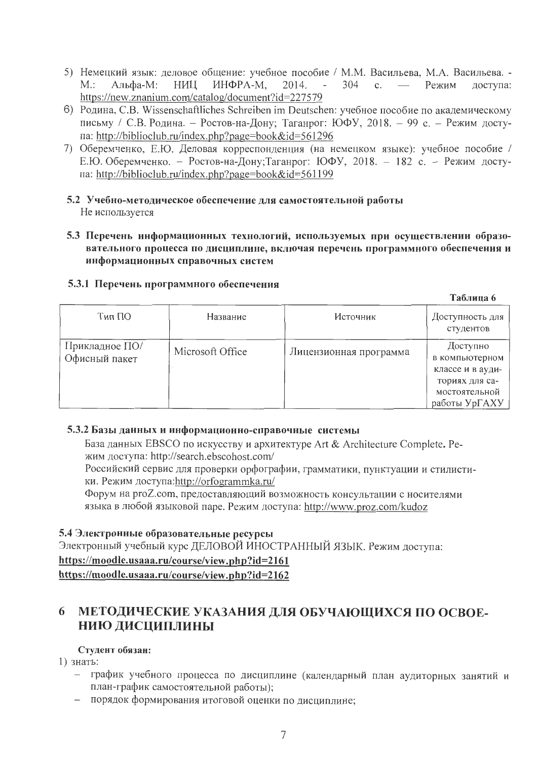- 5) Немецкий язык: деловое общение: учебное пособие / М.М. Васильева, М.А. Васильева. - $M$ .: Альфа-М: НИЦ ИНФРА-М. 2014.  $304 \, c. \, -$ Режим  $\Delta \sim 10^4$ доступа: https://new.znanium.com/catalog/document?id=227579
- 6) Родина, С.В. Wissenschaftliches Schreiben im Deutschen: учебное пособие по академическому письму / С.В. Родина. - Ростов-на-Дону; Таганрог: ЮФУ, 2018. - 99 с. - Режим доступа: http://biblioclub.ru/index.php?page=book&id=561296
- 7) Оберемченко, Е.Ю. Деловая корреспонденция (на немецком языке): учебное пособие / Е.Ю. Оберемченко. - Ростов-на-Дону; Таганрог: ЮФУ, 2018. - 182 с. - Режим доступа: http://biblioclub.ru/index.php?page=book&id=561199
- 5.2 Учебно-методическое обеспечение для самостоятельной работы Не используется
- 5.3 Перечень информационных технологий, используемых при осуществлении образовательного процесса по дисциплине, включая перечень программного обеспечения и информационных справочных систем

 $T_{\alpha}$   $\epsilon$   $\ldots$   $\ldots$   $\epsilon$ 

|                                 |                  |                        | таолица о                                                                                          |
|---------------------------------|------------------|------------------------|----------------------------------------------------------------------------------------------------|
| Тип ПО                          | Название         | Источник               | Доступность для  <br>студентов                                                                     |
| Прикладное ПО/<br>Офисный пакет | Microsoft Office | Лицензионная программа | Доступно<br>в компьютерном<br>классе и в ауди-<br>ториях для са-<br>мостоятельной<br>работы УрГАХУ |

## 5.3.1 Перечень программного обеспечения

### 5.3.2 Базы данных и информационно-справочные системы

База данных EBSCO по искусству и архитектуре Art & Architecture Complete. Peжим доступа: http://search.ebscohost.com/

Российский сервис для проверки орфографии, грамматики, пунктуации и стилистики. Режим доступа:http://orfogrammka.ru/

Форум на proZ.com, предоставляющий возможность консультации с носителями языка в любой языковой паре. Режим доступа: http://www.proz.com/kudoz

### 5.4 Электронные образовательные ресурсы

Электронный учебный курс ДЕЛОВОЙ ИНОСТРАННЫЙ ЯЗЫК. Режим доступа: https://moodle.usaaa.ru/course/view.php?id=2161 https://moodle.usaaa.ru/course/view.php?id=2162

#### 6 МЕТОДИЧЕСКИЕ УКАЗАНИЯ ДЛЯ ОБУЧАЮЩИХСЯ ПО ОСВОЕ-НИЮ ДИСЦИПЛИНЫ

### Студент обязан:

1) знать:

- график учебного процесса по дисциплине (календарный план аудиторных занятий и план-график самостоятельной работы);
- порядок формирования итоговой оценки по дисциплине: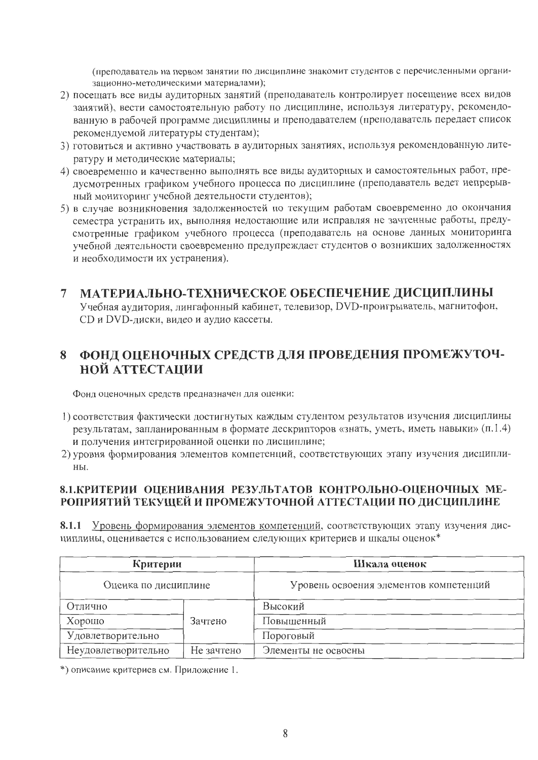(преподаватель на первом занятии по дисциплине знакомит студентов с перечисленными организационно-методическими материалами);

- 2) посещать все виды аудиторных занятий (преподаватель контролирует посещение всех видов занятий), вести самостоятельную работу по дисциплине, используя литературу, рекомендованную в рабочей программе дисциплины и преподавателем (преподаватель передает список рекомендуемой литературы студентам);
- 3) готовиться и активно участвовать в аудиторных занятиях, используя рекомендованную литературу и методические материалы;
- 4) своевременно и качественно выполнять все виды аудиторных и самостоятельных работ, предусмотренных графиком учебного процесса по дисциплине (преподаватель ведет непрерывный мониторинг учебной деятельности студентов);
- 5) в случае возникновения задолженностей по текущим работам своевременно до окончания семестра устранить их, выполняя недостающие или исправляя не зачтенные работы, предусмотренные графиком учебного процесса (преподаватель на основе данных мониторинга учебной деятельности своевременно предупреждает студентов о возникших задолженностях и необходимости их устранения).

#### МАТЕРИАЛЬНО-ТЕХНИЧЕСКОЕ ОБЕСПЕЧЕНИЕ ДИСЦИПЛИНЫ  $\overline{7}$

Учебная аудитория, лингафонный кабинет, телевизор, DVD-проигрыватель, магнитофон, CD и DVD-диски, видео и аудио кассеты.

#### ФОНД ОЦЕНОЧНЫХ СРЕДСТВ ДЛЯ ПРОВЕДЕНИЯ ПРОМЕЖУТОЧ-8 **НОЙ АТТЕСТАЦИИ**

Фонд оценочных средств предназначен для оценки:

- 1) соответствия фактически достигнутых каждым студентом результатов изучения дисциплины результатам, запланированным в формате дескрипторов «знать, уметь, иметь навыки» (п.1.4) и получения интегрированной оценки по дисциплине;
- 2) уровня формирования элементов компетенций, соответствующих этапу изучения дисциплины.

## 8.1. КРИТЕРИИ ОЦЕНИВАНИЯ РЕЗУЛЬТАТОВ КОНТРОЛЬНО-ОЦЕНОЧНЫХ МЕ-РОПРИЯТИЙ ТЕКУЩЕЙ И ПРОМЕЖУТОЧНОЙ АТТЕСТАЦИИ ПО ДИСЦИПЛИНЕ

8.1.1 Уровень формирования элементов компетенций, соответствующих этапу изучения дисциплины, оценивается с использованием следующих критериев и шкалы оценок\*

| Критерии             |            | Шкала оценок                           |
|----------------------|------------|----------------------------------------|
| Оценка по дисциплине |            | Уровень освоения элементов компетенций |
| Отлично              |            | Высокий                                |
| Хорошо               | Зачтено    | Повышенный                             |
| Удовлетворительно    |            | Пороговый                              |
| Неудовлетворительно  | Не зачтено | Элементы не освоены                    |

\*) описание критериев см. Приложение 1.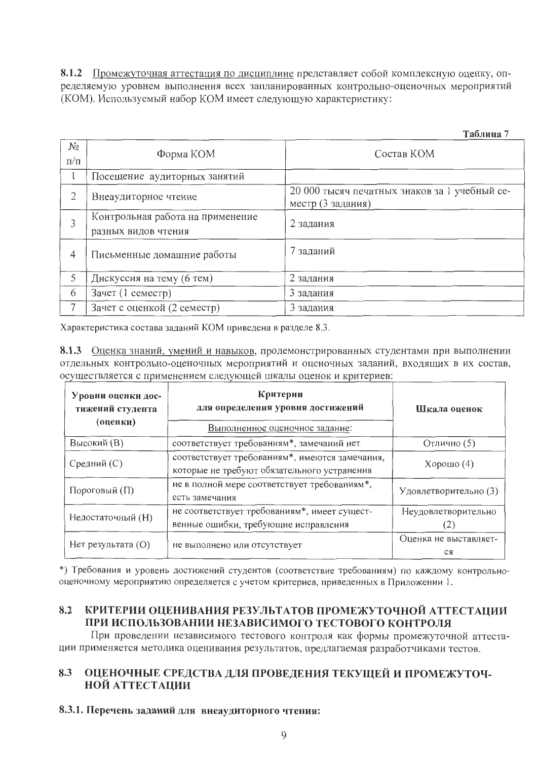8.1.2 Промежуточная аттестация по дисциплине представляет собой комплексную оценку, определяемую уровнем выполнения всех запланированных контрольно-оценочных мероприятий (КОМ). Используемый набор КОМ имеет следующую характеристику:

Таблина 7

| NΩ<br>$\Pi/\Pi$ | Форма КОМ                                               | Состав КОМ                                                         |
|-----------------|---------------------------------------------------------|--------------------------------------------------------------------|
|                 | Посещение аудиторных занятий                            |                                                                    |
| 2               | Внеаудиторное чтение                                    | 20 000 тысяч печатных знаков за 1 учебный се-<br>местр (3 задания) |
| 3               | Контрольная работа на применение<br>разных видов чтения | 2 задания                                                          |
| 4               | Письменные домашние работы                              | заданий                                                            |
| 5               | Дискуссия на тему (6 тем)                               | 2 задания                                                          |
| 6               | Зачет (1 семестр)                                       | 3 задания                                                          |
|                 | Зачет с оценкой (2 семестр)                             | 3 задания                                                          |

Характеристика состава заданий КОМ приведена в разделе 8.3.

8.1.3 Оценка знаний, умений и навыков, продемонстрированных студентами при выполнении отдельных контрольно-оценочных мероприятий и оценочных заданий, входящих в их состав, осуществляется с применением следующей шкалы оценок и критериев:

| Уровни оценки дос-<br>тижений студента<br>(оценки) | Критерии<br>для определения уровня достижений<br>Выполненное оценочное задание:               | Шкала оценок                |  |  |
|----------------------------------------------------|-----------------------------------------------------------------------------------------------|-----------------------------|--|--|
| Высокий (В)                                        | соответствует требованиям*, замечаний нет                                                     | Отлично (5)                 |  |  |
| Средний (С)                                        | соответствует требованиям*, имеются замечания,<br>которые не требуют обязательного устранения | $X$ орошо $(4)$             |  |  |
| Пороговый (П)                                      | не в полной мере соответствует требованиям*,<br>есть замечания                                | Удовлетворительно (3)       |  |  |
| Недостаточный (Н)                                  | не соответствует требованиям*, имеет сущест-<br>венные ошибки, требующие исправления          | Неудовлетворительно<br>(Z)  |  |  |
| $Her$ результата $(O)$                             | не выполнено или отсутствует                                                                  | Оценка не выставляет-<br>CЯ |  |  |

\*) Требования и уровень достижений студентов (соответствие требованиям) по каждому контрольнооценочному мероприятию определяется с учетом критериев, приведенных в Приложении 1.

#### КРИТЕРИИ ОЦЕНИВАНИЯ РЕЗУЛЬТАТОВ ПРОМЕЖУТОЧНОЙ АТТЕСТАЦИИ 8.2 ПРИ ИСПОЛЬЗОВАНИИ НЕЗАВИСИМОГО ТЕСТОВОГО КОНТРОЛЯ

При проведении независимого тестового контроля как формы промежуточной аттестации применяется методика оценивания результатов, предлагаемая разработчиками тестов.

#### ОЦЕНОЧНЫЕ СРЕДСТВА ДЛЯ ПРОВЕДЕНИЯ ТЕКУЩЕЙ И ПРОМЕЖУТОЧ-8.3 НОЙ АТТЕСТАЦИИ

#### 8.3.1. Перечень заданий для внеаудиторного чтения: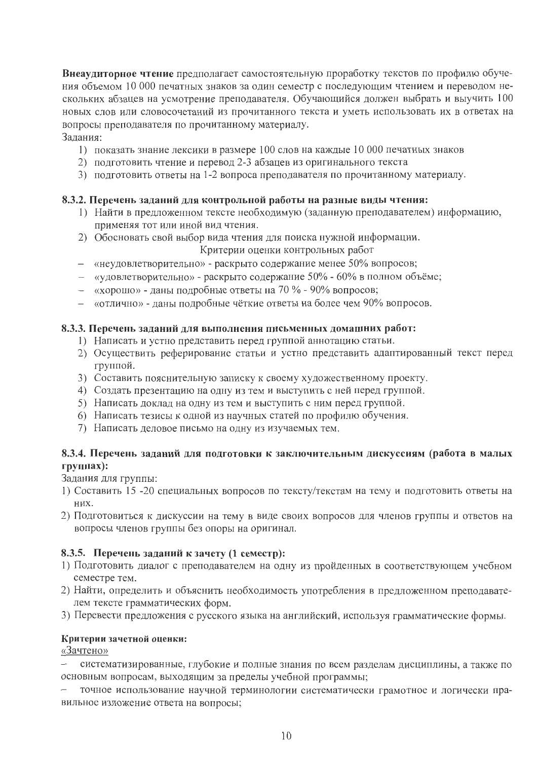Внеаудиторное чтение предполагает самостоятельную проработку текстов по профилю обучения объемом 10 000 печатных знаков за один семестр с последующим чтением и переводом нескольких абзацев на усмотрение преподавателя. Обучающийся должен выбрать и выучить 100 новых слов или словосочетаний из прочитанного текста и уметь использовать их в ответах на вопросы преподавателя по прочитанному материалу.

### Залания:

- 1) показать знание лексики в размере 100 слов на каждые 10 000 печатных знаков
- 2) подготовить чтение и перевод 2-3 абзацев из оригинального текста
- 3) подготовить ответы на 1-2 вопроса преподавателя по прочитанному материалу.

### 8.3.2. Перечень заданий для контрольной работы на разные виды чтения:

- 1) Найти в предложенном тексте необходимую (заданную преподавателем) информацию, применяя тот или иной вид чтения.
- 2) Обосновать свой выбор вида чтения для поиска нужной информации.
	- Критерии оценки контрольных работ
- «неудовлетворительно» раскрыто содержание менее 50% вопросов;
- «удовлетворительно» раскрыто содержание 50% 60% в полном объёме;
- «хорошо» даны подробные ответы на 70 % 90% вопросов;
- «отлично» даны подробные чёткие ответы на более чем 90% вопросов.

## 8.3.3. Перечень заданий для выполнения письменных домашних работ:

- 1) Написать и устно представить перед группой аннотацию статьи.
- 2) Осуществить реферирование статьи и устно представить адаптированный текст перед группой.
- 3) Составить пояснительную записку к своему художественному проекту.
- 4) Создать презентацию на одну из тем и выступить с ней перед группой.
- 5) Написать доклад на одну из тем и выступить с ним перед группой.
- 6) Написать тезисы к одной из научных статей по профилю обучения.
- 7) Написать деловое письмо на одну из изучаемых тем.

## 8.3.4. Перечень заданий для подготовки к заключительным дискуссиям (работа в малых группах):

Задания для группы:

- 1) Составить 15 -20 специальных вопросов по тексту/текстам на тему и подготовить ответы на них.
- 2) Подготовиться к дискуссии на тему в виде своих вопросов для членов группы и ответов на вопросы членов группы без опоры на оригинал.

## 8.3.5. Перечень заданий к зачету (1 семестр):

- 1) Подготовить диалог с преподавателем на одну из пройденных в соответствующем учебном семестре тем.
- 2) Найти, определить и объяснить необходимость употребления в предложенном преподавателем тексте грамматических форм.
- 3) Перевести предложения с русского языка на английский, используя грамматические формы.

## Критерии зачетной оценки:

«Зачтено»

систематизированные, глубокие и полные знания по всем разделам дисциплины, а также по основным вопросам, выходящим за пределы учебной программы;

точное использование научной терминологии систематически грамотное и логически правильное изложение ответа на вопросы;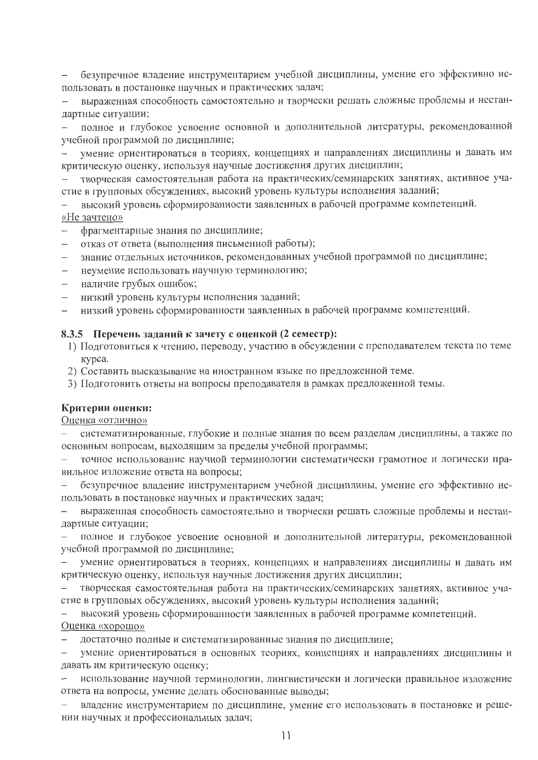безупречное владение инструментарием учебной дисциплины, умение его эффективно использовать в постановке научных и практических задач;

выраженная способность самостоятельно и творчески решать сложные проблемы и нестандартные ситуации;

полное и глубокое усвоение основной и дополнительной литературы, рекомендованной учебной программой по дисциплине;

умение ориентироваться в теориях, концепциях и направлениях дисциплины и давать им критическую оценку, используя научные достижения других дисциплин;

творческая самостоятельная работа на практических/семинарских занятиях, активное участие в групповых обсуждениях, высокий уровень культуры исполнения заданий;

высокий уровень сформированности заявленных в рабочей программе компетенций. «Не зачтено»

- фрагментарные знания по дисциплине;
- отказ от ответа (выполнения письменной работы);
- знание отдельных источников, рекомендованных учебной программой по дисциплине;
- неумение использовать научную терминологию;
- наличие грубых ошибок;
- низкий уровень культуры исполнения заданий;
- низкий уровень сформированности заявленных в рабочей программе компетенций.

#### 8.3.5 Перечень заданий к зачету с оценкой (2 семестр):

- 1) Подготовиться к чтению, переводу, участию в обсуждении с преподавателем текста по теме курса.
- 2) Составить высказывание на иностранном языке по предложенной теме.
- 3) Подготовить ответы на вопросы преподавателя в рамках предложенной темы.

#### Критерии оценки:

Оценка «отлично»

систематизированные, глубокие и полные знания по всем разделам дисциплины, а также по основным вопросам, выходящим за пределы учебной программы;

точное использование научной терминологии систематически грамотное и логически правильное изложение ответа на вопросы;

безупречное владение инструментарием учебной дисциплины, умение его эффективно использовать в постановке научных и практических задач;

выраженная способность самостоятельно и творчески решать сложные проблемы и нестандартные ситуации;

полное и глубокое усвоение основной и дополнительной литературы, рекомендованной учебной программой по дисциплине;

умение ориентироваться в теориях, концепциях и направлениях дисциплины и давать им критическую оценку, используя научные достижения других дисциплин;

творческая самостоятельная работа на практических/семинарских занятиях, активное участие в групповых обсуждениях, высокий уровень культуры исполнения заданий;

высокий уровень сформированности заявленных в рабочей программе компетенций. Оценка «хорошо»

достаточно полные и систематизированные знания по дисциплине;

умение ориентироваться в основных теориях, концепциях и направлениях дисциплины и давать им критическую оценку;

использование научной терминологии, лингвистически и логически правильное изложение ответа на вопросы, умение делать обоснованные выводы;

владение инструментарием по дисциплине, умение его использовать в постановке и решении научных и профессиональных задач;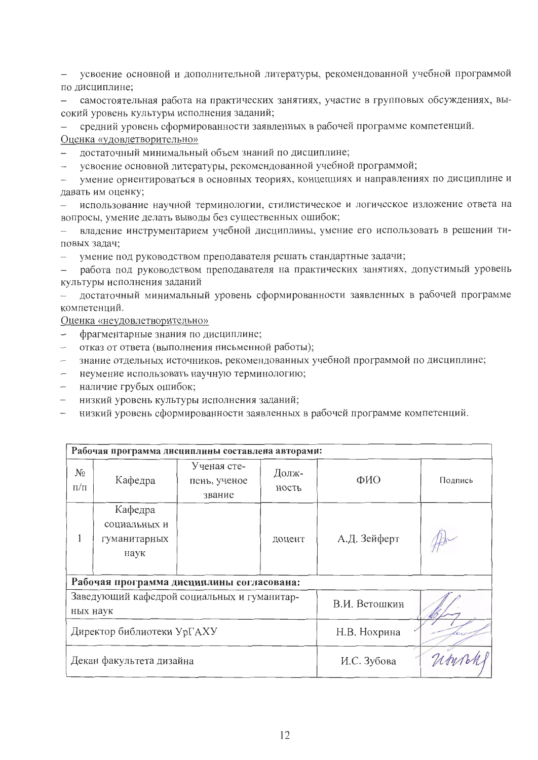усвоение основной и дополнительной литературы, рекомендованной учебной программой по дисциплине:

самостоятельная работа на практических занятиях, участие в групповых обсуждениях, высокий уровень культуры исполнения заданий;

средний уровень сформированности заявленных в рабочей программе компетенций.

Оценка «удовлетворительно»

достаточный минимальный объем знаний по дисциплине;

усвоение основной литературы, рекомендованной учебной программой;

умение ориентироваться в основных теориях, концепциях и направлениях по дисциплине и давать им оценку;

использование научной терминологии, стилистическое и логическое изложение ответа на вопросы, умение делать выводы без существенных ошибок;

владение инструментарием учебной дисциплины, умение его использовать в решении типовых задач;

умение под руководством преподавателя решать стандартные задачи;

работа под руководством преподавателя на практических занятиях, допустимый уровень культуры исполнения заданий

достаточный минимальный уровень сформированности заявленных в рабочей программе  $\overline{\phantom{0}}$ компетенций.

Оценка «неудовлетворительно»

- фрагментарные знания по дисциплине;
- отказ от ответа (выполнения письменной работы);
- знание отдельных источников, рекомендованных учебной программой по дисциплине;
- неумение использовать научную терминологию;
- наличие грубых ошибок;
- низкий уровень культуры исполнения заданий;
- низкий уровень сформированности заявленных в рабочей программе компетенций.

| Рабочая программа дисциплины составлена авторами: |                                                 |                                       |                |              |         |  |  |  |  |
|---------------------------------------------------|-------------------------------------------------|---------------------------------------|----------------|--------------|---------|--|--|--|--|
| $N_{\Omega}$<br>$\Pi/\Pi$                         | Кафедра                                         | Ученая сте-<br>пень, ученое<br>звание | Долж-<br>ность | ФИО          | Подпись |  |  |  |  |
|                                                   | Кафедра<br>социальных и<br>гуманитарных<br>наук |                                       | доцент         | А.Д. Зейферт |         |  |  |  |  |
| Рабочая программа дисциплины согласована:         |                                                 |                                       |                |              |         |  |  |  |  |
| ных наук                                          | Заведующий кафедрой социальных и гуманитар-     |                                       | В.И. Ветошкин  |              |         |  |  |  |  |
| Директор библиотеки УрГАХУ                        |                                                 |                                       |                | Н.В. Нохрина |         |  |  |  |  |
| Декан факультета дизайна                          |                                                 |                                       |                | И.С. Зубова  |         |  |  |  |  |